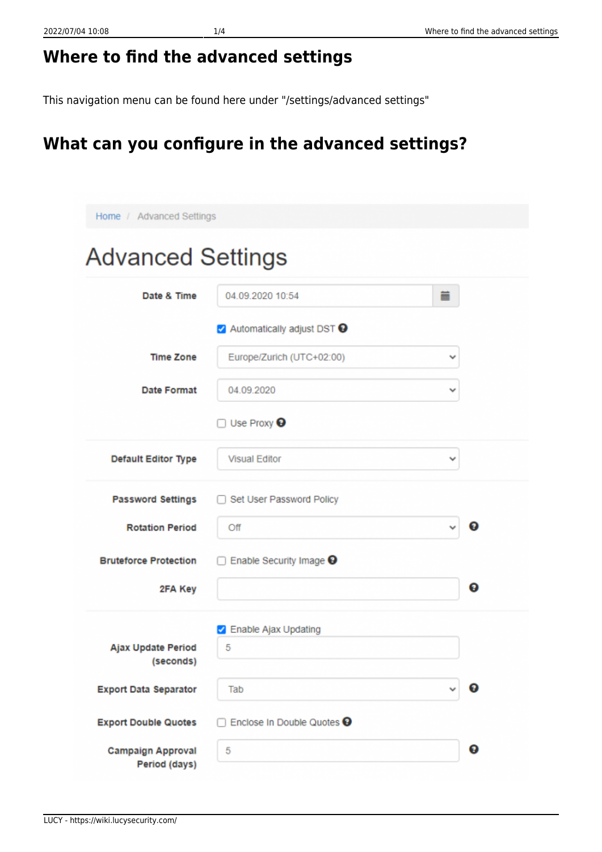## **Where to find the advanced settings**

This navigation menu can be found here under "/settings/advanced settings"

## **What can you configure in the advanced settings?**

| Home / Advanced Settings                  |                                         |            |   |  |
|-------------------------------------------|-----------------------------------------|------------|---|--|
| <b>Advanced Settings</b>                  |                                         |            |   |  |
| Date & Time                               | 04.09.2020 10:54                        | <b>THE</b> |   |  |
|                                           | √ Automatically adjust DST <sup>●</sup> |            |   |  |
| <b>Time Zone</b>                          | Europe/Zurich (UTC+02:00)               | v          |   |  |
| Date Format                               | 04.09.2020                              | ٧          |   |  |
|                                           | Use Proxy $\Theta$                      |            |   |  |
| <b>Default Editor Type</b>                | <b>Visual Editor</b>                    | v          |   |  |
| <b>Password Settings</b>                  | Set User Password Policy                |            |   |  |
| <b>Rotation Period</b>                    | Off                                     |            | ๏ |  |
| <b>Bruteforce Protection</b>              | Enable Security Image <sup>9</sup>      |            |   |  |
| 2FA Key                                   |                                         |            | ❸ |  |
|                                           | <b>2</b> Enable Ajax Updating           |            |   |  |
| Ajax Update Period<br>(seconds)           | 5                                       |            |   |  |
| <b>Export Data Separator</b>              | Tab                                     |            | Ω |  |
| <b>Export Double Quotes</b>               | Enclose In Double Quotes <sup>O</sup>   |            |   |  |
| <b>Campaign Approval</b><br>Period (days) | 5                                       |            | ◉ |  |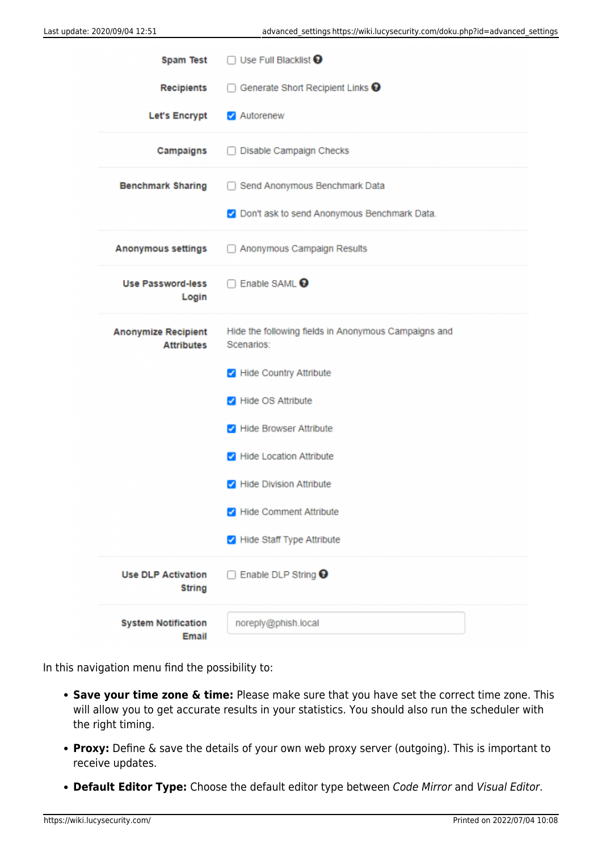|                                                 | Spam Test □ Use Full Blacklist <b>+</b>                            |  |
|-------------------------------------------------|--------------------------------------------------------------------|--|
| <b>Recipients</b>                               | Generate Short Recipient Links <sup>O</sup><br>$\Box$              |  |
| <b>Let's Encrypt</b>                            | Autorenew                                                          |  |
| Campaigns                                       | Disable Campaign Checks                                            |  |
| <b>Benchmark Sharing</b>                        | Send Anonymous Benchmark Data                                      |  |
|                                                 | O Don't ask to send Anonymous Benchmark Data.                      |  |
| <b>Anonymous settings</b>                       | Anonymous Campaign Results                                         |  |
| <b>Use Password-less</b><br>Login               | Enable SAML <sup>O</sup>                                           |  |
| <b>Anonymize Recipient</b><br><b>Attributes</b> | Hide the following fields in Anonymous Campaigns and<br>Scenarios: |  |
|                                                 | Hide Country Attribute                                             |  |
|                                                 | Hide OS Attribute                                                  |  |
|                                                 | Hide Browser Attribute                                             |  |
|                                                 | Hide Location Attribute                                            |  |
|                                                 | Hide Division Attribute                                            |  |
|                                                 | Hide Comment Attribute                                             |  |
|                                                 | Hide Staff Type Attribute                                          |  |
| <b>Use DLP Activation</b><br><b>String</b>      | Enable DLP String <sup>●</sup>                                     |  |
| <b>System Notification</b><br>Email             | noreply@phish.local                                                |  |

In this navigation menu find the possibility to:

- **Save your time zone & time:** Please make sure that you have set the correct time zone. This will allow you to get accurate results in your statistics. You should also run the scheduler with the right timing.
- **Proxy:** Define & save the details of your own web proxy server (outgoing). This is important to receive updates.
- **Default Editor Type:** Choose the default editor type between Code Mirror and Visual Editor.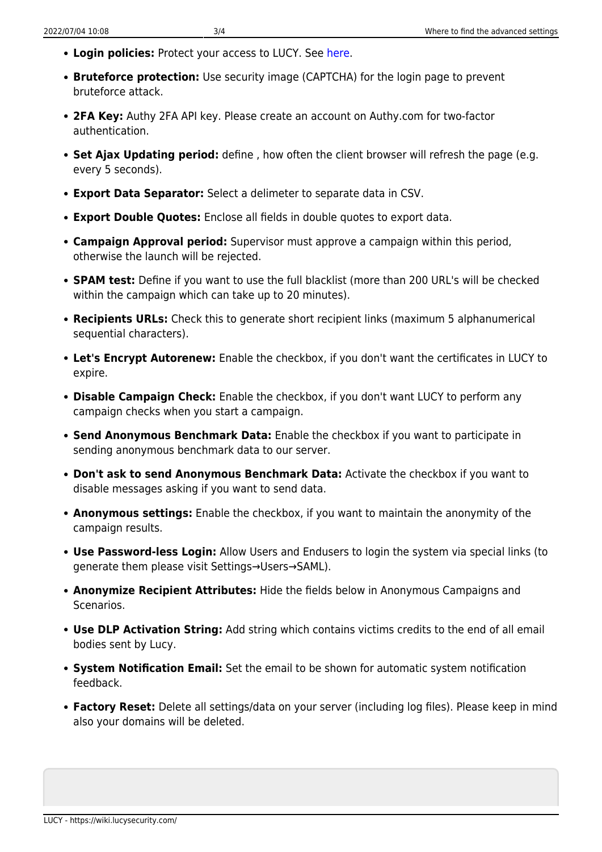- **Login policies:** Protect your access to LUCY. See [here.](https://wiki.lucysecurity.com/doku.php?id=password_policies_login_protection_strong_authentication)
- **Bruteforce protection:** Use security image (CAPTCHA) for the login page to prevent bruteforce attack.
- **2FA Key:** Authy 2FA API key. Please create an account on Authy.com for two-factor authentication.
- **Set Ajax Updating period:** define , how often the client browser will refresh the page (e.g. every 5 seconds).
- **Export Data Separator:** Select a delimeter to separate data in CSV.
- **Export Double Quotes:** Enclose all fields in double quotes to export data.
- **Campaign Approval period:** Supervisor must approve a campaign within this period, otherwise the launch will be rejected.
- **SPAM test:** Define if you want to use the full blacklist (more than 200 URL's will be checked within the campaign which can take up to 20 minutes).
- **Recipients URLs:** Check this to generate short recipient links (maximum 5 alphanumerical sequential characters).
- **Let's Encrypt Autorenew:** Enable the checkbox, if you don't want the certificates in LUCY to expire.
- **Disable Campaign Check:** Enable the checkbox, if you don't want LUCY to perform any campaign checks when you start a campaign.
- **Send Anonymous Benchmark Data:** Enable the checkbox if you want to participate in sending anonymous benchmark data to our server.
- **Don't ask to send Anonymous Benchmark Data:** Activate the checkbox if you want to disable messages asking if you want to send data.
- **Anonymous settings:** Enable the checkbox, if you want to maintain the anonymity of the campaign results.
- **Use Password-less Login:** Allow Users and Endusers to login the system via special links (to generate them please visit Settings→Users→SAML).
- **Anonymize Recipient Attributes:** Hide the fields below in Anonymous Campaigns and Scenarios.
- **Use DLP Activation String:** Add string which contains victims credits to the end of all email bodies sent by Lucy.
- **System Notification Email:** Set the email to be shown for automatic system notification feedback.
- **Factory Reset:** Delete all settings/data on your server (including log files). Please keep in mind also your domains will be deleted.